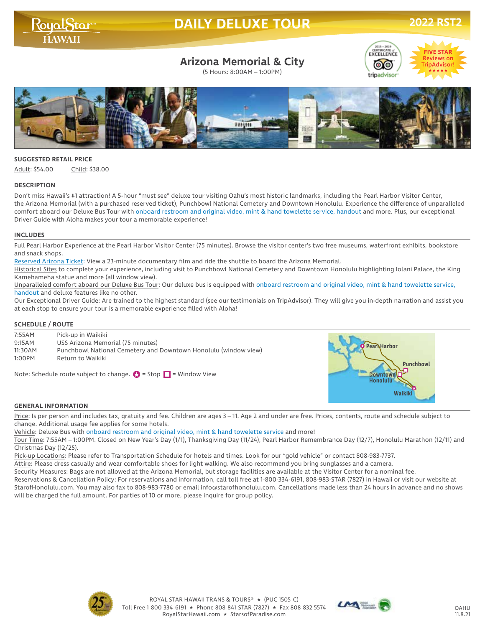## **DAILY DELUXE TOUR 2022 RS**

RoyalStar

## **Arizona Memorial & City**

(5 Hours: 8:00AM – 1:00PM)





#### **SUGGESTED RETAIL PRICE**

Adult: \$54.00 Child: \$38.00

#### **DESCRIPTION**

Don't miss Hawaii's #1 attraction! A 5-hour "must see" deluxe tour visiting Oahu's most historic landmarks, including the Pearl Harbor Visitor Center, the Arizona Memorial (with a purchased reserved ticket), Punchbowl National Cemetery and Downtown Honolulu. Experience the difference of unparalleled comfort aboard our Deluxe Bus Tour with onboard restroom and original video, mint & hand towelette service, handout and more. Plus, our exceptional Driver Guide with Aloha makes your tour a memorable experience!

#### **INCLUDES**

Full Pearl Harbor Experience at the Pearl Harbor Visitor Center (75 minutes). Browse the visitor center's two free museums, waterfront exhibits, bookstore and snack shops.

Reserved Arizona Ticket: View a 23-minute documentary film and ride the shuttle to board the Arizona Memorial.

Historical Sites to complete your experience, including visit to Punchbowl National Cemetery and Downtown Honolulu highlighting Iolani Palace, the King Kamehameha statue and more (all window view).

Unparalleled comfort aboard our Deluxe Bus Tour: Our deluxe bus is equipped with onboard restroom and original video, mint & hand towelette service, handout and deluxe features like no other.

Our Exceptional Driver Guide: Are trained to the highest standard (see our testimonials on TripAdvisor). They will give you in-depth narration and assist you at each stop to ensure your tour is a memorable experience filled with Aloha!

#### **SCHEDULE / ROUTE**

| 7:55AM<br>9:15AM<br>11:30AM | Pick-up in Waikiki<br>USS Arizona Memorial (75 minutes)<br>Punchbowl National Cemetery and Downtown Honolulu (window view) | 'earNHarbor      |
|-----------------------------|----------------------------------------------------------------------------------------------------------------------------|------------------|
| 1:00PM                      | Return to Waikiki<br>Note: Schedule route subject to change. $\bullet$ = Stop $\Box$ = Window View                         | <b>Punchbowl</b> |

#### **GENERAL INFORMATION**

Price: Is per person and includes tax, gratuity and fee. Children are ages 3 – 11. Age 2 and under are free. Prices, contents, route and schedule subject to change. Additional usage fee applies for some hotels.

Vehicle: Deluxe Bus with onboard restroom and original video, mint & hand towelette service and more!

Tour Time: 7:55AM – 1:00PM. Closed on New Year's Day (1/1), Thanksgiving Day (11/24), Pearl Harbor Remembrance Day (12/7), Honolulu Marathon (12/11) and Christmas Day (12/25).

Pick-up Locations: Please refer to Transportation Schedule for hotels and times. Look for our "gold vehicle" or contact 808-983-7737.

Attire: Please dress casually and wear comfortable shoes for light walking. We also recommend you bring sunglasses and a camera.

Security Measures: Bags are not allowed at the Arizona Memorial, but storage facilities are available at the Visitor Center for a nominal fee.

Reservations & Cancellation Policy: For reservations and information, call toll free at 1-800-334-6191, 808-983-STAR (7827) in Hawaii or visit our website at

StarofHonolulu.com. You may also fax to 808-983-7780 or email info@starofhonolulu.com. Cancellations made less than 24 hours in advance and no shows will be charged the full amount. For parties of 10 or more, please inquire for group policy.





**Waikiki**